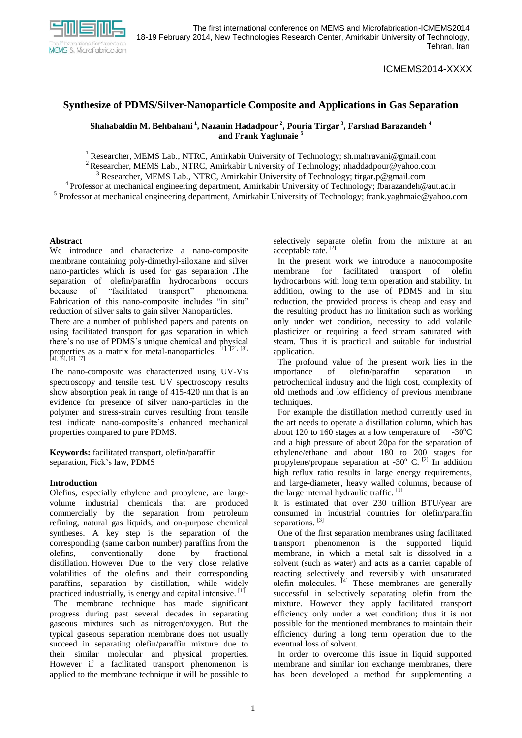

# ICMEMS2014-XXXX

# **Synthesize of PDMS/Silver-Nanoparticle Composite and Applications in Gas Separation**

## **Shahabaldin M. Behbahani <sup>1</sup> , Nazanin Hadadpour <sup>2</sup> , Pouria Tirgar <sup>3</sup> , Farshad Barazandeh <sup>4</sup> and Frank Yaghmaie <sup>5</sup>**

<sup>1</sup> Researcher, MEMS Lab., NTRC, Amirkabir University of Technology; sh.mahravani@gmail.com

<sup>2</sup> Researcher, MEMS Lab., NTRC, Amirkabir University of Technology; nhaddadpour@yahoo.com

<sup>3</sup> Researcher, MEMS Lab., NTRC, Amirkabir University of Technology; tirgar.p@gmail.com

<sup>4</sup> Professor at mechanical engineering department, Amirkabir University of Technology; fbarazandeh@aut.ac.ir <sup>5</sup> Professor at mechanical engineering department, Amirkabir University of Technology; frank.yaghmaie@yahoo.com

#### **Abstract**

We introduce and characterize a nano-composite membrane containing poly-dimethyl-siloxane and silver nano-particles which is used for gas separation **.**The separation of olefin/paraffin hydrocarbons occurs because of "facilitated transport" phenomena. Fabrication of this nano-composite includes "in situ" reduction of silver salts to gain silver Nanoparticles.

There are a number of published papers and patents on using facilitated transport for gas separation in which there's no use of PDMS's unique chemical and physical properties as a matrix for metal-nanoparticles.  $[1]$ ,  $[2]$ ,  $[3]$ ,  $[4]$ ,  $[5]$ ,  $[6]$ ,  $[7]$ 

The nano-composite was characterized using UV-Vis spectroscopy and tensile test. UV spectroscopy results show absorption peak in range of 415-420 nm that is an evidence for presence of silver nano-particles in the polymer and stress-strain curves resulting from tensile test indicate nano-composite's enhanced mechanical properties compared to pure PDMS.

**Keywords:** facilitated transport, olefin/paraffin separation, Fick's law, PDMS

### **Introduction**

Olefins, especially ethylene and propylene, are largevolume industrial chemicals that are produced commercially by the separation from petroleum refining, natural gas liquids, and on-purpose chemical syntheses. A key step is the separation of the corresponding (same carbon number) paraffins from the olefins, conventionally done by fractional distillation. However Due to the very close relative volatilities of the olefins and their corresponding paraffins, separation by distillation, while widely practiced industrially, is energy and capital intensive. <sup>[1]</sup>

 The membrane technique has made significant progress during past several decades in separating gaseous mixtures such as nitrogen/oxygen. But the typical gaseous separation membrane does not usually succeed in separating olefin/paraffin mixture due to their similar molecular and physical properties. However if a facilitated transport phenomenon is applied to the membrane technique it will be possible to selectively separate olefin from the mixture at an acceptable rate.<sup>[2]</sup>

 In the present work we introduce a nanocomposite membrane for facilitated transport of olefin hydrocarbons with long term operation and stability. In addition, owing to the use of PDMS and in situ reduction, the provided process is cheap and easy and the resulting product has no limitation such as working only under wet condition, necessity to add volatile plasticizer or requiring a feed stream saturated with steam. Thus it is practical and suitable for industrial application.

 The profound value of the present work lies in the importance of olefin/paraffin separation in petrochemical industry and the high cost, complexity of old methods and low efficiency of previous membrane techniques.

 For example the distillation method currently used in the art needs to operate a distillation column, which has about 120 to 160 stages at a low temperature of  $-30^{\circ}$ C and a high pressure of about 20pa for the separation of ethylene/ethane and about 180 to 200 stages for propylene/propane separation at  $-30^\circ$  C.  $^{[2]}$  In addition high reflux ratio results in large energy requirements, and large-diameter, heavy walled columns, because of the large internal hydraulic traffic.  $[1]$ 

It is estimated that over 230 trillion BTU/year are consumed in industrial countries for olefin/paraffin separations.<sup>[3]</sup>

 One of the first separation membranes using facilitated transport phenomenon is the supported liquid membrane, in which a metal salt is dissolved in a solvent (such as water) and acts as a carrier capable of reacting selectively and reversibly with unsaturated  $\frac{1}{4}$  These membranes are generally successful in selectively separating olefin from the mixture. However they apply facilitated transport efficiency only under a wet condition; thus it is not possible for the mentioned membranes to maintain their efficiency during a long term operation due to the eventual loss of solvent.

 In order to overcome this issue in liquid supported membrane and similar ion exchange membranes, there has been developed a method for supplementing a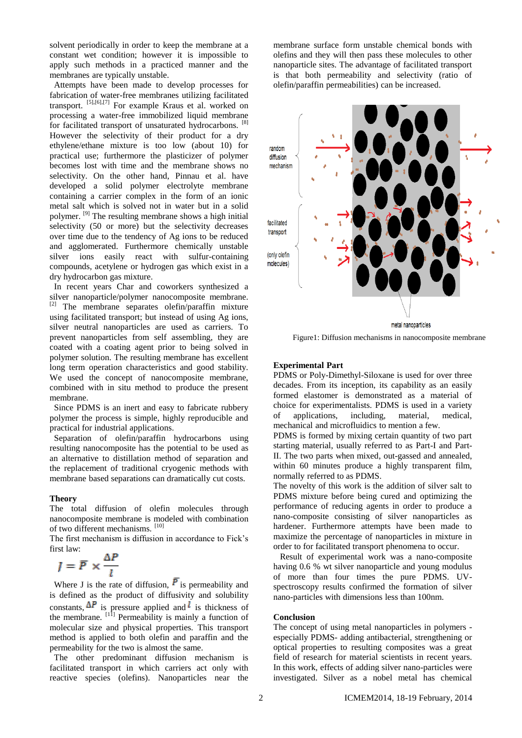solvent periodically in order to keep the membrane at a constant wet condition; however it is impossible to apply such methods in a practiced manner and the membranes are typically unstable.

 Attempts have been made to develop processes for fabrication of water-free membranes utilizing facilitated transport. [5],[6],[7] For example Kraus et al. worked on processing a water-free immobilized liquid membrane for facilitated transport of unsaturated hydrocarbons. [8] However the selectivity of their product for a dry ethylene/ethane mixture is too low (about 10) for practical use; furthermore the plasticizer of polymer becomes lost with time and the membrane shows no selectivity. On the other hand, Pinnau et al. have developed a solid polymer electrolyte membrane containing a carrier complex in the form of an ionic metal salt which is solved not in water but in a solid polymer. [9] The resulting membrane shows a high initial selectivity (50 or more) but the selectivity decreases over time due to the tendency of Ag ions to be reduced and agglomerated. Furthermore chemically unstable silver ions easily react with sulfur-containing compounds, acetylene or hydrogen gas which exist in a dry hydrocarbon gas mixture.

 In recent years Char and coworkers synthesized a silver nanoparticle/polymer nanocomposite membrane. [2] The membrane separates olefin/paraffin mixture using facilitated transport; but instead of using Ag ions, silver neutral nanoparticles are used as carriers. To prevent nanoparticles from self assembling, they are coated with a coating agent prior to being solved in polymer solution. The resulting membrane has excellent long term operation characteristics and good stability. We used the concept of nanocomposite membrane, combined with in situ method to produce the present membrane.

 Since PDMS is an inert and easy to fabricate rubbery polymer the process is simple, highly reproducible and practical for industrial applications.

 Separation of olefin/paraffin hydrocarbons using resulting nanocomposite has the potential to be used as an alternative to distillation method of separation and the replacement of traditional cryogenic methods with membrane based separations can dramatically cut costs.

#### **Theory**

The total diffusion of olefin molecules through nanocomposite membrane is modeled with combination of two different mechanisms. [10]

The first mechanism is diffusion in accordance to Fick's first law:

$$
J = \overline{P} \times \frac{\Delta P}{l}
$$

Where J is the rate of diffusion,  $\overline{P}$  is permeability and is defined as the product of diffusivity and solubility constants,  $\Delta F$  is pressure applied and is thickness of the membrane.  $\left[1\right]$ <sup>[11]</sup> Permeability is mainly a function of molecular size and physical properties. This transport method is applied to both olefin and paraffin and the permeability for the two is almost the same.

 The other predominant diffusion mechanism is facilitated transport in which carriers act only with reactive species (olefins). Nanoparticles near the membrane surface form unstable chemical bonds with olefins and they will then pass these molecules to other nanoparticle sites. The advantage of facilitated transport is that both permeability and selectivity (ratio of olefin/paraffin permeabilities) can be increased.



Figure1: Diffusion mechanisms in nanocomposite membrane

#### **Experimental Part**

PDMS or Poly-Dimethyl-Siloxane is used for over three decades. From its inception, its capability as an easily formed elastomer is demonstrated as a material of choice for experimentalists. PDMS is used in a variety of applications, including, material, medical, mechanical and microfluidics to mention a few.

PDMS is formed by mixing certain quantity of two part starting material, usually referred to as Part-I and Part-II. The two parts when mixed, out-gassed and annealed, within 60 minutes produce a highly transparent film, normally referred to as PDMS.

The novelty of this work is the addition of silver salt to PDMS mixture before being cured and optimizing the performance of reducing agents in order to produce a nano-composite consisting of silver nanoparticles as hardener. Furthermore attempts have been made to maximize the percentage of nanoparticles in mixture in order to for facilitated transport phenomena to occur.

Result of experimental work was a nano-composite having 0.6 % wt silver nanoparticle and young modulus of more than four times the pure PDMS. UVspectroscopy results confirmed the formation of silver nano-particles with dimensions less than 100nm.

#### **Conclusion**

The concept of using metal nanoparticles in polymers especially PDMS- adding antibacterial, strengthening or optical properties to resulting composites was a great field of research for material scientists in recent years. In this work, effects of adding silver nano-particles were investigated. Silver as a nobel metal has chemical